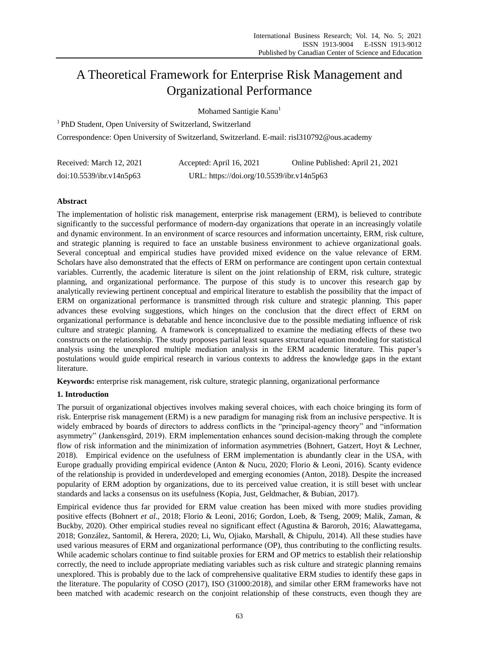# A Theoretical Framework for Enterprise Risk Management and Organizational Performance

Mohamed Santigie Kanu<sup>1</sup>

<sup>1</sup> PhD Student, Open University of Switzerland, Switzerland

Correspondence: Open University of Switzerland, Switzerland. E-mail: risl310792@ous.academy

| Received: March 12, 2021 | Accepted: April 16, 2021                  | Online Published: April 21, 2021 |
|--------------------------|-------------------------------------------|----------------------------------|
| doi:10.5539/ibr.v14n5p63 | URL: https://doi.org/10.5539/ibr.v14n5p63 |                                  |

# **Abstract**

The implementation of holistic risk management, enterprise risk management (ERM), is believed to contribute significantly to the successful performance of modern-day organizations that operate in an increasingly volatile and dynamic environment. In an environment of scarce resources and information uncertainty, ERM, risk culture, and strategic planning is required to face an unstable business environment to achieve organizational goals. Several conceptual and empirical studies have provided mixed evidence on the value relevance of ERM. Scholars have also demonstrated that the effects of ERM on performance are contingent upon certain contextual variables. Currently, the academic literature is silent on the joint relationship of ERM, risk culture, strategic planning, and organizational performance. The purpose of this study is to uncover this research gap by analytically reviewing pertinent conceptual and empirical literature to establish the possibility that the impact of ERM on organizational performance is transmitted through risk culture and strategic planning. This paper advances these evolving suggestions, which hinges on the conclusion that the direct effect of ERM on organizational performance is debatable and hence inconclusive due to the possible mediating influence of risk culture and strategic planning. A framework is conceptualized to examine the mediating effects of these two constructs on the relationship. The study proposes partial least squares structural equation modeling for statistical analysis using the unexplored multiple mediation analysis in the ERM academic literature. This paper's postulations would guide empirical research in various contexts to address the knowledge gaps in the extant literature.

**Keywords:** enterprise risk management, risk culture, strategic planning, organizational performance

## **1. Introduction**

The pursuit of organizational objectives involves making several choices, with each choice bringing its form of risk. Enterprise risk management (ERM) is a new paradigm for managing risk from an inclusive perspective. It is widely embraced by boards of directors to address conflicts in the "principal-agency theory" and "information asymmetry" (Jankensgård, 2019). ERM implementation enhances sound decision-making through the complete flow of risk information and the minimization of information asymmetries (Bohnert, Gatzert, Hoyt & Lechner, 2018). Empirical evidence on the usefulness of ERM implementation is abundantly clear in the USA, with Europe gradually providing empirical evidence (Anton & Nucu, 2020; Florio & Leoni, 2016). Scanty evidence of the relationship is provided in underdeveloped and emerging economies (Anton, 2018). Despite the increased popularity of ERM adoption by organizations, due to its perceived value creation, it is still beset with unclear standards and lacks a consensus on its usefulness (Kopia, Just, Geldmacher, & Bubian, 2017).

Empirical evidence thus far provided for ERM value creation has been mixed with more studies providing positive effects (Bohnert *et al*., 2018; Florio & Leoni, 2016; Gordon, Loeb, & Tseng, 2009; Malik, Zaman, & Buckby, 2020). Other empirical studies reveal no significant effect (Agustina & Baroroh, 2016; Alawattegama, 2018; González, Santomil, & Herera, 2020; Li, Wu, Ojiako, Marshall, & Chipulu, 2014). All these studies have used various measures of ERM and organizational performance (OP), thus contributing to the conflicting results. While academic scholars continue to find suitable proxies for ERM and OP metrics to establish their relationship correctly, the need to include appropriate mediating variables such as risk culture and strategic planning remains unexplored. This is probably due to the lack of comprehensive qualitative ERM studies to identify these gaps in the literature. The popularity of COSO (2017), ISO (31000:2018), and similar other ERM frameworks have not been matched with academic research on the conjoint relationship of these constructs, even though they are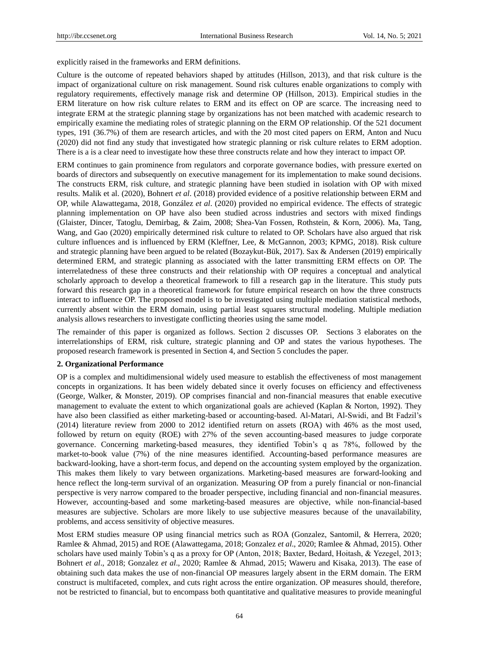explicitly raised in the frameworks and ERM definitions.

Culture is the outcome of repeated behaviors shaped by attitudes (Hillson, 2013), and that risk culture is the impact of organizational culture on risk management. Sound risk cultures enable organizations to comply with regulatory requirements, effectively manage risk and determine OP (Hillson, 2013). Empirical studies in the ERM literature on how risk culture relates to ERM and its effect on OP are scarce. The increasing need to integrate ERM at the strategic planning stage by organizations has not been matched with academic research to empirically examine the mediating roles of strategic planning on the ERM OP relationship. Of the 521 document types, 191 (36.7%) of them are research articles, and with the 20 most cited papers on ERM, Anton and Nucu (2020) did not find any study that investigated how strategic planning or risk culture relates to ERM adoption. There is a is a clear need to investigate how these three constructs relate and how they interact to impact OP.

ERM continues to gain prominence from regulators and corporate governance bodies, with pressure exerted on boards of directors and subsequently on executive management for its implementation to make sound decisions. The constructs ERM, risk culture, and strategic planning have been studied in isolation with OP with mixed results. Malik et al. (2020), Bohnert *et al*. (2018) provided evidence of a positive relationship between ERM and OP, while Alawattegama, 2018, González *et al*. (2020) provided no empirical evidence. The effects of strategic planning implementation on OP have also been studied across industries and sectors with mixed findings (Glaister, Dincer, Tatoglu, Demirbag, & Zaim, 2008; Shea-Van Fossen, Rothstein, & Korn, 2006). Ma, Tang, Wang, and Gao (2020) empirically determined risk culture to related to OP. Scholars have also argued that risk culture influences and is influenced by ERM (Kleffner, Lee, & McGannon, 2003; KPMG, 2018). Risk culture and strategic planning have been argued to be related (Bozaykut-Bük, 2017). Sax & Andersen (2019) empirically determined ERM, and strategic planning as associated with the latter transmitting ERM effects on OP. The interrelatedness of these three constructs and their relationship with OP requires a conceptual and analytical scholarly approach to develop a theoretical framework to fill a research gap in the literature. This study puts forward this research gap in a theoretical framework for future empirical research on how the three constructs interact to influence OP. The proposed model is to be investigated using multiple mediation statistical methods, currently absent within the ERM domain, using partial least squares structural modeling. Multiple mediation analysis allows researchers to investigate conflicting theories using the same model.

The remainder of this paper is organized as follows. Section 2 discusses OP. Sections 3 elaborates on the interrelationships of ERM, risk culture, strategic planning and OP and states the various hypotheses. The proposed research framework is presented in Section 4, and Section 5 concludes the paper.

#### **2. Organizational Performance**

OP is a complex and multidimensional widely used measure to establish the effectiveness of most management concepts in organizations. It has been widely debated since it overly focuses on efficiency and effectiveness (George, Walker, & Monster, 2019). OP comprises financial and non-financial measures that enable executive management to evaluate the extent to which organizational goals are achieved (Kaplan & Norton, 1992). They have also been classified as either marketing-based or accounting-based. Al-Matari, Al-Swidi, and Bt Fadzil's (2014) literature review from 2000 to 2012 identified return on assets (ROA) with 46% as the most used, followed by return on equity (ROE) with 27% of the seven accounting-based measures to judge corporate governance. Concerning marketing-based measures, they identified Tobin's q as 78%, followed by the market-to-book value (7%) of the nine measures identified. Accounting-based performance measures are backward-looking, have a short-term focus, and depend on the accounting system employed by the organization. This makes them likely to vary between organizations. Marketing-based measures are forward-looking and hence reflect the long-term survival of an organization. Measuring OP from a purely financial or non-financial perspective is very narrow compared to the broader perspective, including financial and non-financial measures. However, accounting-based and some marketing-based measures are objective, while non-financial-based measures are subjective. Scholars are more likely to use subjective measures because of the unavailability, problems, and access sensitivity of objective measures.

Most ERM studies measure OP using financial metrics such as ROA (Gonzalez, Santomil, & Herrera, 2020; Ramlee & Ahmad, 2015) and ROE (Alawattegama, 2018; Gonzalez *et al*., 2020; Ramlee & Ahmad, 2015). Other scholars have used mainly Tobin's q as a proxy for OP (Anton, 2018; Baxter, Bedard, Hoitash, & Yezegel, 2013; Bohnert *et al*., 2018; Gonzalez *et al*., 2020; Ramlee & Ahmad, 2015; Waweru and Kisaka, 2013). The ease of obtaining such data makes the use of non-financial OP measures largely absent in the ERM domain. The ERM construct is multifaceted, complex, and cuts right across the entire organization. OP measures should, therefore, not be restricted to financial, but to encompass both quantitative and qualitative measures to provide meaningful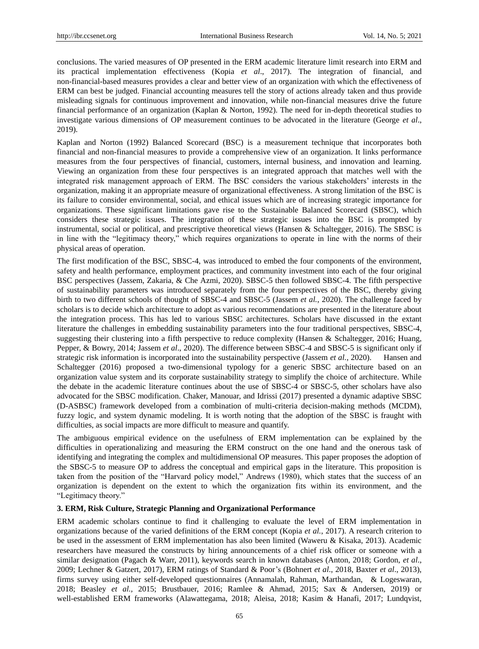conclusions. The varied measures of OP presented in the ERM academic literature limit research into ERM and its practical implementation effectiveness (Kopia *et al*., 2017). The integration of financial, and non-financial-based measures provides a clear and better view of an organization with which the effectiveness of ERM can best be judged. Financial accounting measures tell the story of actions already taken and thus provide misleading signals for continuous improvement and innovation, while non-financial measures drive the future financial performance of an organization (Kaplan & Norton, 1992). The need for in-depth theoretical studies to investigate various dimensions of OP measurement continues to be advocated in the literature (George *et al*., 2019).

Kaplan and Norton (1992) Balanced Scorecard (BSC) is a measurement technique that incorporates both financial and non-financial measures to provide a comprehensive view of an organization. It links performance measures from the four perspectives of financial, customers, internal business, and innovation and learning. Viewing an organization from these four perspectives is an integrated approach that matches well with the integrated risk management approach of ERM. The BSC considers the various stakeholders' interests in the organization, making it an appropriate measure of organizational effectiveness. A strong limitation of the BSC is its failure to consider environmental, social, and ethical issues which are of increasing strategic importance for organizations. These significant limitations gave rise to the Sustainable Balanced Scorecard (SBSC), which considers these strategic issues. The integration of these strategic issues into the BSC is prompted by instrumental, social or political, and prescriptive theoretical views (Hansen & Schaltegger, 2016). The SBSC is in line with the "legitimacy theory," which requires organizations to operate in line with the norms of their physical areas of operation.

The first modification of the BSC, SBSC-4, was introduced to embed the four components of the environment, safety and health performance, employment practices, and community investment into each of the four original BSC perspectives (Jassem, Zakaria, & Che Azmi, 2020). SBSC-5 then followed SBSC-4. The fifth perspective of sustainability parameters was introduced separately from the four perspectives of the BSC, thereby giving birth to two different schools of thought of SBSC-4 and SBSC-5 (Jassem *et al.*, 2020). The challenge faced by scholars is to decide which architecture to adopt as various recommendations are presented in the literature about the integration process. This has led to various SBSC architectures. Scholars have discussed in the extant literature the challenges in embedding sustainability parameters into the four traditional perspectives, SBSC-4, suggesting their clustering into a fifth perspective to reduce complexity (Hansen & Schaltegger, 2016; Huang, Pepper, & Bowry, 2014; Jassem *et al*., 2020). The difference between SBSC-4 and SBSC-5 is significant only if strategic risk information is incorporated into the sustainability perspective (Jassem *et al.*, 2020). Hansen and Schaltegger (2016) proposed a two-dimensional typology for a generic SBSC architecture based on an organization value system and its corporate sustainability strategy to simplify the choice of architecture. While the debate in the academic literature continues about the use of SBSC-4 or SBSC-5, other scholars have also advocated for the SBSC modification. Chaker, Manouar, and Idrissi (2017) presented a dynamic adaptive SBSC (D-ASBSC) framework developed from a combination of multi-criteria decision-making methods (MCDM), fuzzy logic, and system dynamic modeling. It is worth noting that the adoption of the SBSC is fraught with difficulties, as social impacts are more difficult to measure and quantify.

The ambiguous empirical evidence on the usefulness of ERM implementation can be explained by the difficulties in operationalizing and measuring the ERM construct on the one hand and the onerous task of identifying and integrating the complex and multidimensional OP measures. This paper proposes the adoption of the SBSC-5 to measure OP to address the conceptual and empirical gaps in the literature. This proposition is taken from the position of the "Harvard policy model," Andrews (1980), which states that the success of an organization is dependent on the extent to which the organization fits within its environment, and the "Legitimacy theory."

# **3. ERM, Risk Culture, Strategic Planning and Organizational Performance**

ERM academic scholars continue to find it challenging to evaluate the level of ERM implementation in organizations because of the varied definitions of the ERM concept (Kopia *et al.*, 2017). A research criterion to be used in the assessment of ERM implementation has also been limited (Waweru & Kisaka, 2013). Academic researchers have measured the constructs by hiring announcements of a chief risk officer or someone with a similar designation (Pagach & Warr, 2011), keywords search in known databases (Anton, 2018; Gordon, *et al*., 2009; Lechner & Gatzert, 2017), ERM ratings of Standard & Poor's (Bohnert *et al*., 2018, Baxter *et al*., 2013), firms survey using either self-developed questionnaires (Annamalah, Rahman, Marthandan, & Logeswaran*,* 2018; Beasley *et al.,* 2015; Brustbauer, 2016; Ramlee & Ahmad, 2015; Sax & Andersen, 2019) or well-established ERM frameworks (Alawattegama, 2018; Aleisa, 2018; Kasim & Hanafi, 2017; Lundqvist,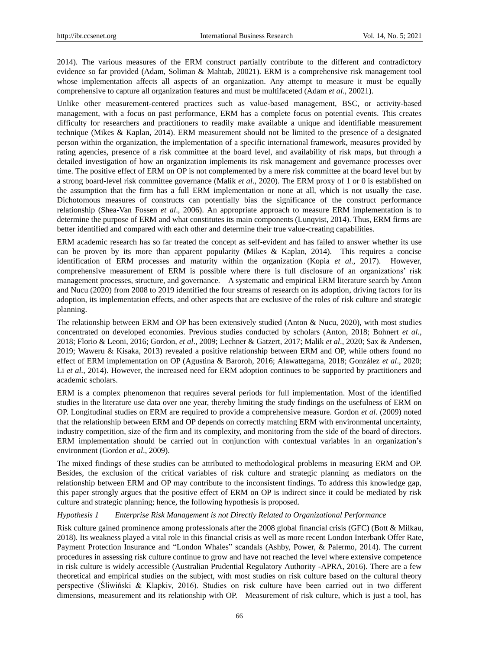2014). The various measures of the ERM construct partially contribute to the different and contradictory evidence so far provided (Adam, Soliman & Mahtab, 20021). ERM is a comprehensive risk management tool whose implementation affects all aspects of an organization. Any attempt to measure it must be equally comprehensive to capture all organization features and must be multifaceted (Adam *et al*., 20021).

Unlike other measurement-centered practices such as value-based management, BSC, or activity-based management, with a focus on past performance, ERM has a complete focus on potential events. This creates difficulty for researchers and practitioners to readily make available a unique and identifiable measurement technique (Mikes & Kaplan, 2014). ERM measurement should not be limited to the presence of a designated person within the organization, the implementation of a specific international framework, measures provided by rating agencies, presence of a risk committee at the board level, and availability of risk maps, but through a detailed investigation of how an organization implements its risk management and governance processes over time. The positive effect of ERM on OP is not complemented by a mere risk committee at the board level but by a strong board-level risk committee governance (Malik *et al*., 2020). The ERM proxy of 1 or 0 is established on the assumption that the firm has a full ERM implementation or none at all, which is not usually the case. Dichotomous measures of constructs can potentially bias the significance of the construct performance relationship (Shea-Van Fossen *et al*., 2006). An appropriate approach to measure ERM implementation is to determine the purpose of ERM and what constitutes its main components (Lunqvist, 2014). Thus, ERM firms are better identified and compared with each other and determine their true value-creating capabilities.

ERM academic research has so far treated the concept as self-evident and has failed to answer whether its use can be proven by its more than apparent popularity (Mikes & Kaplan, 2014). This requires a concise identification of ERM processes and maturity within the organization (Kopia *et al*., 2017). However, comprehensive measurement of ERM is possible where there is full disclosure of an organizations' risk management processes, structure, and governance. A systematic and empirical ERM literature search by Anton and Nucu (2020) from 2008 to 2019 identified the four streams of research on its adoption, driving factors for its adoption, its implementation effects, and other aspects that are exclusive of the roles of risk culture and strategic planning.

The relationship between ERM and OP has been extensively studied (Anton & Nucu, 2020), with most studies concentrated on developed economies. Previous studies conducted by scholars (Anton, 2018; Bohnert *et al*., 2018; Florio & Leoni, 2016; Gordon, *et al*., 2009; Lechner & Gatzert, 2017; Malik *et al*., 2020; Sax & Andersen, 2019; Waweru & Kisaka, 2013) revealed a positive relationship between ERM and OP, while others found no effect of ERM implementation on OP (Agustina & Baroroh, 2016; Alawattegama, 2018; González *et al*., 2020; Li *et al.*, 2014). However, the increased need for ERM adoption continues to be supported by practitioners and academic scholars.

ERM is a complex phenomenon that requires several periods for full implementation. Most of the identified studies in the literature use data over one year, thereby limiting the study findings on the usefulness of ERM on OP. Longitudinal studies on ERM are required to provide a comprehensive measure. Gordon *et al*. (2009) noted that the relationship between ERM and OP depends on correctly matching ERM with environmental uncertainty, industry competition, size of the firm and its complexity, and monitoring from the side of the board of directors. ERM implementation should be carried out in conjunction with contextual variables in an organization's environment (Gordon *et al*., 2009).

The mixed findings of these studies can be attributed to methodological problems in measuring ERM and OP. Besides, the exclusion of the critical variables of risk culture and strategic planning as mediators on the relationship between ERM and OP may contribute to the inconsistent findings. To address this knowledge gap, this paper strongly argues that the positive effect of ERM on OP is indirect since it could be mediated by risk culture and strategic planning; hence, the following hypothesis is proposed.

### *Hypothesis 1 Enterprise Risk Management is not Directly Related to Organizational Performance*

Risk culture gained prominence among professionals after the 2008 global financial crisis (GFC) (Bott & Milkau, 2018). Its weakness played a vital role in this financial crisis as well as more recent London Interbank Offer Rate, Payment Protection Insurance and "London Whales" scandals (Ashby, Power, & Palermo, 2014). The current procedures in assessing risk culture continue to grow and have not reached the level where extensive competence in risk culture is widely accessible (Australian Prudential Regulatory Authority -APRA, 2016). There are a few theoretical and empirical studies on the subject, with most studies on risk culture based on the cultural theory perspective (Śliwiński & Klapkiv, 2016). Studies on risk culture have been carried out in two different dimensions, measurement and its relationship with OP. Measurement of risk culture, which is just a tool, has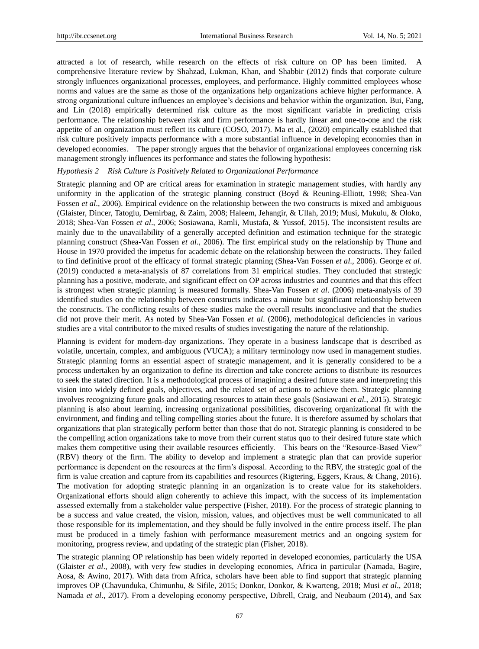attracted a lot of research, while research on the effects of risk culture on OP has been limited. A comprehensive literature review by Shahzad, Lukman, Khan, and Shabbir (2012) finds that corporate culture strongly influences organizational processes, employees, and performance. Highly committed employees whose norms and values are the same as those of the organizations help organizations achieve higher performance. A strong organizational culture influences an employee's decisions and behavior within the organization. Bui, Fang, and Lin (2018) empirically determined risk culture as the most significant variable in predicting crisis performance. The relationship between risk and firm performance is hardly linear and one-to-one and the risk appetite of an organization must reflect its culture (COSO, 2017). Ma et al., (2020) empirically established that risk culture positively impacts performance with a more substantial influence in developing economies than in developed economies. The paper strongly argues that the behavior of organizational employees concerning risk management strongly influences its performance and states the following hypothesis:

#### *Hypothesis 2 Risk Culture is Positively Related to Organizational Performance*

Strategic planning and OP are critical areas for examination in strategic management studies, with hardly any uniformity in the application of the strategic planning construct (Boyd & Reuning-Elliott, 1998; Shea-Van Fossen *et al*., 2006). Empirical evidence on the relationship between the two constructs is mixed and ambiguous (Glaister, Dincer, Tatoglu, Demirbag, & Zaim, 2008; Haleem, Jehangir, & Ullah, 2019; Musi, Mukulu, & Oloko, 2018; Shea-Van Fossen *et al*., 2006; Sosiawana, Ramli, Mustafa, & Yussof, 2015). The inconsistent results are mainly due to the unavailability of a generally accepted definition and estimation technique for the strategic planning construct (Shea-Van Fossen *et al*., 2006). The first empirical study on the relationship by Thune and House in 1970 provided the impetus for academic debate on the relationship between the constructs. They failed to find definitive proof of the efficacy of formal strategic planning (Shea-Van Fossen *et al*., 2006). George *et al*. (2019) conducted a meta-analysis of 87 correlations from 31 empirical studies. They concluded that strategic planning has a positive, moderate, and significant effect on OP across industries and countries and that this effect is strongest when strategic planning is measured formally. Shea-Van Fossen *et al*. (2006) meta-analysis of 39 identified studies on the relationship between constructs indicates a minute but significant relationship between the constructs. The conflicting results of these studies make the overall results inconclusive and that the studies did not prove their merit. As noted by Shea-Van Fossen *et al*. (2006), methodological deficiencies in various studies are a vital contributor to the mixed results of studies investigating the nature of the relationship.

Planning is evident for modern-day organizations. They operate in a business landscape that is described as volatile, uncertain, complex, and ambiguous (VUCA); a military terminology now used in management studies. Strategic planning forms an essential aspect of strategic management, and it is generally considered to be a process undertaken by an organization to define its direction and take concrete actions to distribute its resources to seek the stated direction. It is a methodological process of imagining a desired future state and interpreting this vision into widely defined goals, objectives, and the related set of actions to achieve them. Strategic planning involves recognizing future goals and allocating resources to attain these goals (Sosiawani *et al.*, 2015). Strategic planning is also about learning, increasing organizational possibilities, discovering organizational fit with the environment, and finding and telling compelling stories about the future. It is therefore assumed by scholars that organizations that plan strategically perform better than those that do not. Strategic planning is considered to be the compelling action organizations take to move from their current status quo to their desired future state which makes them competitive using their available resources efficiently. This bears on the "Resource-Based View" (RBV) theory of the firm. The ability to develop and implement a strategic plan that can provide superior performance is dependent on the resources at the firm's disposal. According to the RBV, the strategic goal of the firm is value creation and capture from its capabilities and resources (Rigtering, Eggers, Kraus, & Chang, 2016). The motivation for adopting strategic planning in an organization is to create value for its stakeholders. Organizational efforts should align coherently to achieve this impact, with the success of its implementation assessed externally from a stakeholder value perspective (Fisher, 2018). For the process of strategic planning to be a success and value created, the vision, mission, values, and objectives must be well communicated to all those responsible for its implementation, and they should be fully involved in the entire process itself. The plan must be produced in a timely fashion with performance measurement metrics and an ongoing system for monitoring, progress review, and updating of the strategic plan (Fisher, 2018).

The strategic planning OP relationship has been widely reported in developed economies, particularly the USA (Glaister *et al*., 2008), with very few studies in developing economies, Africa in particular (Namada, Bagire, Aosa, & Awino, 2017). With data from Africa, scholars have been able to find support that strategic planning improves OP (Chavunduka, Chimunhu, & Sifile, 2015; Donkor, Donkor, & Kwarteng*,* 2018; Musi *et al*., 2018; Namada *et al*., 2017). From a developing economy perspective, Dibrell, Craig, and Neubaum (2014), and Sax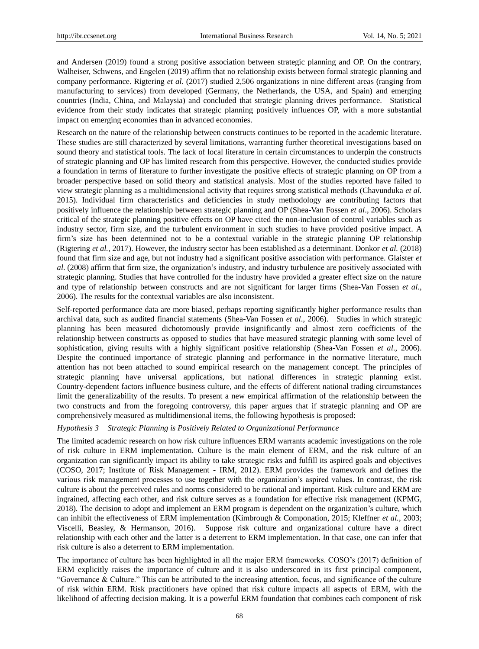and Andersen (2019) found a strong positive association between strategic planning and OP. On the contrary, Walheiser, Schwens, and Engelen (2019) affirm that no relationship exists between formal strategic planning and company performance. Rigtering *et al.* (2017) studied 2,506 organizations in nine different areas (ranging from manufacturing to services) from developed (Germany, the Netherlands, the USA, and Spain) and emerging countries (India, China, and Malaysia) and concluded that strategic planning drives performance. Statistical evidence from their study indicates that strategic planning positively influences OP, with a more substantial impact on emerging economies than in advanced economies.

Research on the nature of the relationship between constructs continues to be reported in the academic literature. These studies are still characterized by several limitations, warranting further theoretical investigations based on sound theory and statistical tools. The lack of local literature in certain circumstances to underpin the constructs of strategic planning and OP has limited research from this perspective. However, the conducted studies provide a foundation in terms of literature to further investigate the positive effects of strategic planning on OP from a broader perspective based on solid theory and statistical analysis. Most of the studies reported have failed to view strategic planning as a multidimensional activity that requires strong statistical methods (Chavunduka *et al.* 2015). Individual firm characteristics and deficiencies in study methodology are contributing factors that positively influence the relationship between strategic planning and OP (Shea-Van Fossen *et al*., 2006). Scholars critical of the strategic planning positive effects on OP have cited the non-inclusion of control variables such as industry sector, firm size, and the turbulent environment in such studies to have provided positive impact. A firm's size has been determined not to be a contextual variable in the strategic planning OP relationship (Rigtering *et al.,* 2017). However, the industry sector has been established as a determinant. Donkor *et al.* (2018) found that firm size and age, but not industry had a significant positive association with performance. Glaister *et al*. (2008) affirm that firm size, the organization's industry, and industry turbulence are positively associated with strategic planning. Studies that have controlled for the industry have provided a greater effect size on the nature and type of relationship between constructs and are not significant for larger firms (Shea-Van Fossen *et al*., 2006). The results for the contextual variables are also inconsistent.

Self-reported performance data are more biased, perhaps reporting significantly higher performance results than archival data, such as audited financial statements (Shea-Van Fossen *et al*., 2006). Studies in which strategic planning has been measured dichotomously provide insignificantly and almost zero coefficients of the relationship between constructs as opposed to studies that have measured strategic planning with some level of sophistication, giving results with a highly significant positive relationship (Shea-Van Fossen *et al*., 2006). Despite the continued importance of strategic planning and performance in the normative literature, much attention has not been attached to sound empirical research on the management concept. The principles of strategic planning have universal applications, but national differences in strategic planning exist. Country-dependent factors influence business culture, and the effects of different national trading circumstances limit the generalizability of the results. To present a new empirical affirmation of the relationship between the two constructs and from the foregoing controversy, this paper argues that if strategic planning and OP are comprehensively measured as multidimensional items, the following hypothesis is proposed:

#### *Hypothesis 3 Strategic Planning is Positively Related to Organizational Performance*

The limited academic research on how risk culture influences ERM warrants academic investigations on the role of risk culture in ERM implementation. Culture is the main element of ERM, and the risk culture of an organization can significantly impact its ability to take strategic risks and fulfill its aspired goals and objectives (COSO, 2017; Institute of Risk Management - IRM, 2012). ERM provides the framework and defines the various risk management processes to use together with the organization's aspired values. In contrast, the risk culture is about the perceived rules and norms considered to be rational and important. Risk culture and ERM are ingrained, affecting each other, and risk culture serves as a foundation for effective risk management (KPMG, 2018). The decision to adopt and implement an ERM program is dependent on the organization's culture, which can inhibit the effectiveness of ERM implementation (Kimbrough & Componation, 2015; Kleffner *et al.*, 2003; Viscelli, Beasley, & Hermanson, 2016). Suppose risk culture and organizational culture have a direct relationship with each other and the latter is a deterrent to ERM implementation. In that case, one can infer that risk culture is also a deterrent to ERM implementation.

The importance of culture has been highlighted in all the major ERM frameworks. COSO's (2017) definition of ERM explicitly raises the importance of culture and it is also underscored in its first principal component, "Governance & Culture." This can be attributed to the increasing attention, focus, and significance of the culture of risk within ERM. Risk practitioners have opined that risk culture impacts all aspects of ERM, with the likelihood of affecting decision making. It is a powerful ERM foundation that combines each component of risk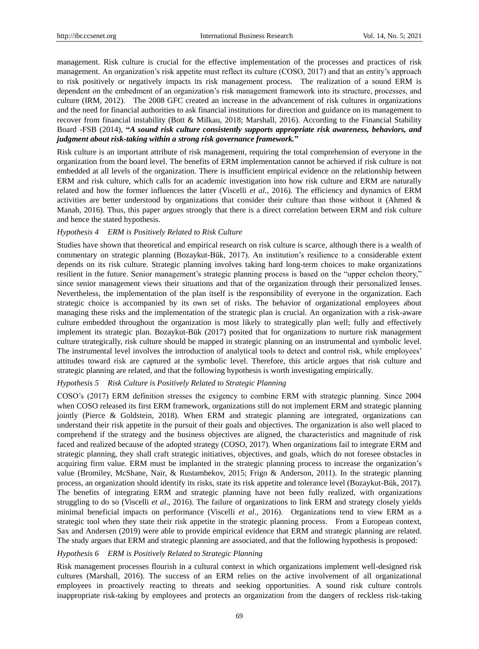management. Risk culture is crucial for the effective implementation of the processes and practices of risk management. An organization's risk appetite must reflect its culture (COSO, 2017) and that an entity's approach to risk positively or negatively impacts its risk management process. The realization of a sound ERM is dependent on the embedment of an organization's risk management framework into its structure, processes, and culture (IRM, 2012). The 2008 GFC created an increase in the advancement of risk cultures in organizations and the need for financial authorities to ask financial institutions for direction and guidance on its management to recover from financial instability (Bott & Milkau, 2018; Marshall, 2016). According to the Financial Stability Board -FSB (2014), **"***A sound risk culture consistently supports appropriate risk awareness, behaviors, and judgment about risk-taking within a strong risk governance framework.***"**

Risk culture is an important attribute of risk management, requiring the total comprehension of everyone in the organization from the board level. The benefits of ERM implementation cannot be achieved if risk culture is not embedded at all levels of the organization. There is insufficient empirical evidence on the relationship between ERM and risk culture, which calls for an academic investigation into how risk culture and ERM are naturally related and how the former influences the latter (Viscelli *et al.*, 2016). The efficiency and dynamics of ERM activities are better understood by organizations that consider their culture than those without it (Ahmed & Manab, 2016). Thus, this paper argues strongly that there is a direct correlation between ERM and risk culture and hence the stated hypothesis.

### *Hypothesis 4 ERM is Positively Related to Risk Culture*

Studies have shown that theoretical and empirical research on risk culture is scarce, although there is a wealth of commentary on strategic planning (Bozaykut-Bük, 2017). An institution's resilience to a considerable extent depends on its risk culture. Strategic planning involves taking hard long-term choices to make organizations resilient in the future. Senior management's strategic planning process is based on the "upper echelon theory," since senior management views their situations and that of the organization through their personalized lenses. Nevertheless, the implementation of the plan itself is the responsibility of everyone in the organization. Each strategic choice is accompanied by its own set of risks. The behavior of organizational employees about managing these risks and the implementation of the strategic plan is crucial. An organization with a risk-aware culture embedded throughout the organization is most likely to strategically plan well; fully and effectively implement its strategic plan. Bozaykut-Bük (2017) posited that for organizations to nurture risk management culture strategically, risk culture should be mapped in strategic planning on an instrumental and symbolic level. The instrumental level involves the introduction of analytical tools to detect and control risk, while employees' attitudes toward risk are captured at the symbolic level. Therefore, this article argues that risk culture and strategic planning are related, and that the following hypothesis is worth investigating empirically.

### *Hypothesis 5 Risk Culture is Positively Related to Strategic Planning*

COSO's (2017) ERM definition stresses the exigency to combine ERM with strategic planning. Since 2004 when COSO released its first ERM framework, organizations still do not implement ERM and strategic planning jointly (Pierce & Goldstein, 2018). When ERM and strategic planning are integrated, organizations can understand their risk appetite in the pursuit of their goals and objectives. The organization is also well placed to comprehend if the strategy and the business objectives are aligned, the characteristics and magnitude of risk faced and realized because of the adopted strategy (COSO, 2017). When organizations fail to integrate ERM and strategic planning, they shall craft strategic initiatives, objectives, and goals, which do not foresee obstacles in acquiring firm value. ERM must be implanted in the strategic planning process to increase the organization's value (Bromiley, McShane, Nair, & Rustambekov, 2015; Frigo & Anderson, 2011). In the strategic planning process, an organization should identify its risks, state its risk appetite and tolerance level (Bozaykut-Bük, 2017). The benefits of integrating ERM and strategic planning have not been fully realized, with organizations struggling to do so (Viscelli *et al*., 2016). The failure of organizations to link ERM and strategy closely yields minimal beneficial impacts on performance (Viscelli *et al*., 2016). Organizations tend to view ERM as a strategic tool when they state their risk appetite in the strategic planning process. From a European context, Sax and Andersen (2019) were able to provide empirical evidence that ERM and strategic planning are related. The study argues that ERM and strategic planning are associated, and that the following hypothesis is proposed:

#### *Hypothesis 6 ERM is Positively Related to Strategic Planning*

Risk management processes flourish in a cultural context in which organizations implement well-designed risk cultures (Marshall, 2016). The success of an ERM relies on the active involvement of all organizational employees in proactively reacting to threats and seeking opportunities. A sound risk culture controls inappropriate risk-taking by employees and protects an organization from the dangers of reckless risk-taking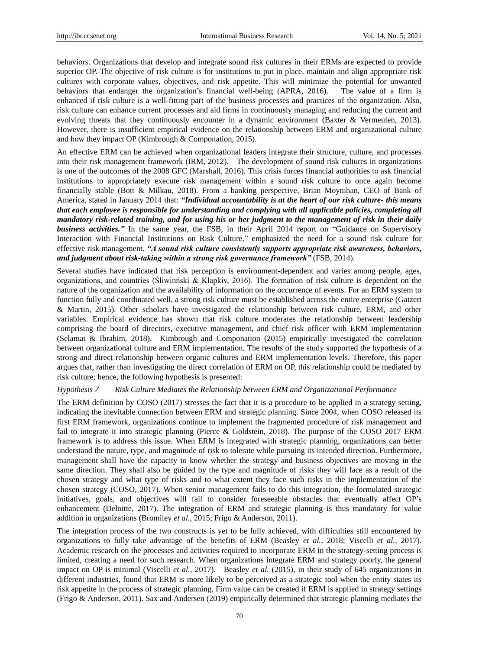behaviors. Organizations that develop and integrate sound risk cultures in their ERMs are expected to provide superior OP. The objective of risk culture is for institutions to put in place, maintain and align appropriate risk cultures with corporate values, objectives, and risk appetite. This will minimize the potential for unwanted behaviors that endanger the organization's financial well-being (APRA, 2016). The value of a firm is enhanced if risk culture is a well-fitting part of the business processes and practices of the organization. Also, risk culture can enhance current processes and aid firms in continuously managing and reducing the current and evolving threats that they continuously encounter in a dynamic environment (Baxter & Vermeulen, 2013). However, there is insufficient empirical evidence on the relationship between ERM and organizational culture and how they impact OP (Kimbrough & Componation, 2015).

An effective ERM can be achieved when organizational leaders integrate their structure, culture, and processes into their risk management framework (IRM, 2012). The development of sound risk cultures in organizations is one of the outcomes of the 2008 GFC (Marshall, 2016). This crisis forces financial authorities to ask financial institutions to appropriately execute risk management within a sound risk culture to once again become financially stable (Bott & Milkau, 2018). From a banking perspective, Brian Moynihan, CEO of Bank of America, stated in January 2014 that: *"Individual accountability is at the heart of our risk culture- this means that each employee is responsible for understanding and complying with all applicable policies, completing all mandatory risk-related training, and for using his or her judgment to the management of risk in their daily business activities."* In the same year, the FSB, in their April 2014 report on "Guidance on Supervisory Interaction with Financial Institutions on Risk Culture," emphasized the need for a sound risk culture for effective risk management. *"A sound risk culture consistently supports appropriate risk awareness, behaviors, and judgment about risk-taking within a strong risk governance framework"* (FSB, 2014).

Several studies have indicated that risk perception is environment-dependent and varies among people, ages, organizations, and countries (Śliwinński & Klapkiv, 2016). The formation of risk culture is dependent on the nature of the organization and the availability of information on the occurrence of events. For an ERM system to function fully and coordinated well, a strong risk culture must be established across the entire enterprise (Gatzert & Martin, 2015). Other scholars have investigated the relationship between risk culture, ERM, and other variables. Empirical evidence has shown that risk culture moderates the relationship between leadership comprising the board of directors, executive management, and chief risk officer with ERM implementation (Selamat & Ibrahim, 2018). Kimbrough and Componation (2015) empirically investigated the correlation between organizational culture and ERM implementation. The results of the study supported the hypothesis of a strong and direct relationship between organic cultures and ERM implementation levels. Therefore, this paper argues that, rather than investigating the direct correlation of ERM on OP, this relationship could be mediated by risk culture; hence, the following hypothesis is presented:

### *Hypothesis 7 Risk Culture Mediates the Relationship between ERM and Organizational Performance*

The ERM definition by COSO (2017) stresses the fact that it is a procedure to be applied in a strategy setting, indicating the inevitable connection between ERM and strategic planning. Since 2004, when COSO released its first ERM framework, organizations continue to implement the fragmented procedure of risk management and fail to integrate it into strategic planning (Pierce & Goldstein, 2018). The purpose of the COSO 2017 ERM framework is to address this issue. When ERM is integrated with strategic planning, organizations can better understand the nature, type, and magnitude of risk to tolerate while pursuing its intended direction. Furthermore, management shall have the capacity to know whether the strategy and business objectives are moving in the same direction. They shall also be guided by the type and magnitude of risks they will face as a result of the chosen strategy and what type of risks and to what extent they face such risks in the implementation of the chosen strategy (COSO, 2017). When senior management fails to do this integration, the formulated strategic initiatives, goals, and objectives will fail to consider foreseeable obstacles that eventually affect OP's enhancement (Deloitte, 2017). The integration of ERM and strategic planning is thus mandatory for value addition in organizations (Bromiley *et al.*, 2015; Frigo & Anderson, 2011).

The integration process of the two constructs is yet to be fully achieved, with difficulties still encountered by organizations to fully take advantage of the benefits of ERM (Beasley *et al.*, 2018; Viscelli *et al.*, 2017). Academic research on the processes and activities required to incorporate ERM in the strategy-setting process is limited, creating a need for such research. When organizations integrate ERM and strategy poorly, the general impact on OP is minimal (Viscelli *et al.*, 2017). Beasley *et al.* (2015), in their study of 645 organizations in different industries, found that ERM is more likely to be perceived as a strategic tool when the entity states its risk appetite in the process of strategic planning. Firm value can be created if ERM is applied in strategy settings (Frigo & Anderson, 2011). Sax and Andersen (2019) empirically determined that strategic planning mediates the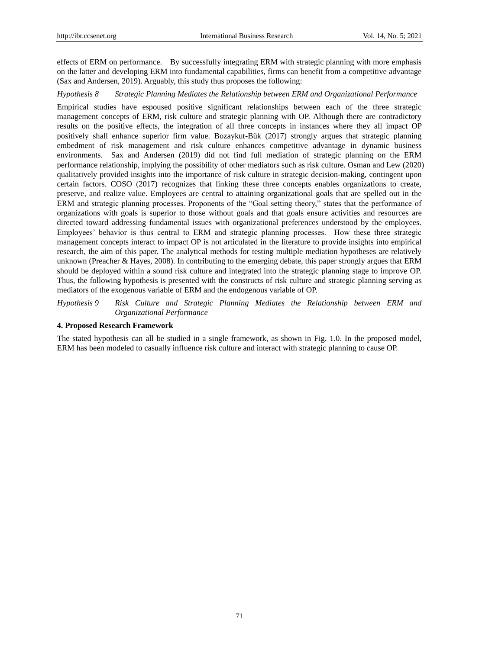effects of ERM on performance. By successfully integrating ERM with strategic planning with more emphasis on the latter and developing ERM into fundamental capabilities, firms can benefit from a competitive advantage (Sax and Andersen, 2019). Arguably, this study thus proposes the following:

#### *Hypothesis 8 Strategic Planning Mediates the Relationship between ERM and Organizational Performance*

Empirical studies have espoused positive significant relationships between each of the three strategic management concepts of ERM, risk culture and strategic planning with OP. Although there are contradictory results on the positive effects, the integration of all three concepts in instances where they all impact OP positively shall enhance superior firm value. Bozaykut-Bük (2017) strongly argues that strategic planning embedment of risk management and risk culture enhances competitive advantage in dynamic business environments. Sax and Andersen (2019) did not find full mediation of strategic planning on the ERM performance relationship, implying the possibility of other mediators such as risk culture. Osman and Lew (2020) qualitatively provided insights into the importance of risk culture in strategic decision-making, contingent upon certain factors. COSO (2017) recognizes that linking these three concepts enables organizations to create, preserve, and realize value. Employees are central to attaining organizational goals that are spelled out in the ERM and strategic planning processes. Proponents of the "Goal setting theory," states that the performance of organizations with goals is superior to those without goals and that goals ensure activities and resources are directed toward addressing fundamental issues with organizational preferences understood by the employees. Employees' behavior is thus central to ERM and strategic planning processes. How these three strategic management concepts interact to impact OP is not articulated in the literature to provide insights into empirical research, the aim of this paper. The analytical methods for testing multiple mediation hypotheses are relatively unknown (Preacher & Hayes, 2008). In contributing to the emerging debate, this paper strongly argues that ERM should be deployed within a sound risk culture and integrated into the strategic planning stage to improve OP. Thus, the following hypothesis is presented with the constructs of risk culture and strategic planning serving as mediators of the exogenous variable of ERM and the endogenous variable of OP.

*Hypothesis 9 Risk Culture and Strategic Planning Mediates the Relationship between ERM and Organizational Performance*

## **4. Proposed Research Framework**

The stated hypothesis can all be studied in a single framework, as shown in Fig. 1.0. In the proposed model, ERM has been modeled to casually influence risk culture and interact with strategic planning to cause OP.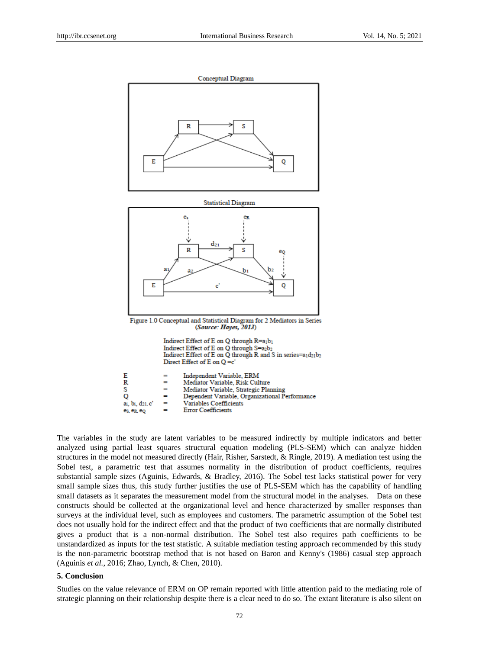

| E               |     | Independent Variable, ERM                      |
|-----------------|-----|------------------------------------------------|
| R               | =   | Mediator Variable, Risk Culture                |
| s               |     | Mediator Variable, Strategic Planning          |
| o               |     | Dependent Variable, Organizational Performance |
| ai, bi, d21. c' | $=$ | Variables Coefficients                         |
| es, er, eo      |     | <b>Error Coefficients</b>                      |
|                 |     |                                                |

The variables in the study are latent variables to be measured indirectly by multiple indicators and better analyzed using partial least squares structural equation modeling (PLS-SEM) which can analyze hidden structures in the model not measured directly (Hair, Risher, Sarstedt, & Ringle, 2019). A mediation test using the Sobel test, a parametric test that assumes normality in the distribution of product coefficients, requires substantial sample sizes (Aguinis, Edwards, & Bradley, 2016). The Sobel test lacks statistical power for very small sample sizes thus, this study further justifies the use of PLS-SEM which has the capability of handling small datasets as it separates the measurement model from the structural model in the analyses. Data on these constructs should be collected at the organizational level and hence characterized by smaller responses than surveys at the individual level, such as employees and customers. The parametric assumption of the Sobel test does not usually hold for the indirect effect and that the product of two coefficients that are normally distributed gives a product that is a non-normal distribution. The Sobel test also requires path coefficients to be unstandardized as inputs for the test statistic. A suitable mediation testing approach recommended by this study is the non-parametric bootstrap method that is not based on Baron and Kenny's (1986) casual step approach (Aguinis *et al.*, 2016; Zhao, Lynch, & Chen, 2010).

### **5. Conclusion**

Studies on the value relevance of ERM on OP remain reported with little attention paid to the mediating role of strategic planning on their relationship despite there is a clear need to do so. The extant literature is also silent on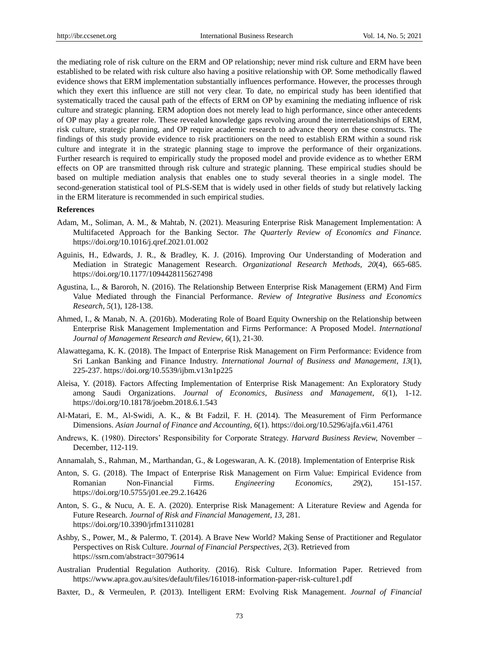the mediating role of risk culture on the ERM and OP relationship; never mind risk culture and ERM have been established to be related with risk culture also having a positive relationship with OP. Some methodically flawed evidence shows that ERM implementation substantially influences performance. However, the processes through which they exert this influence are still not very clear. To date, no empirical study has been identified that systematically traced the causal path of the effects of ERM on OP by examining the mediating influence of risk culture and strategic planning. ERM adoption does not merely lead to high performance, since other antecedents of OP may play a greater role. These revealed knowledge gaps revolving around the interrelationships of ERM, risk culture, strategic planning, and OP require academic research to advance theory on these constructs. The findings of this study provide evidence to risk practitioners on the need to establish ERM within a sound risk culture and integrate it in the strategic planning stage to improve the performance of their organizations. Further research is required to empirically study the proposed model and provide evidence as to whether ERM effects on OP are transmitted through risk culture and strategic planning. These empirical studies should be based on multiple mediation analysis that enables one to study several theories in a single model. The second-generation statistical tool of PLS-SEM that is widely used in other fields of study but relatively lacking in the ERM literature is recommended in such empirical studies.

#### **References**

- Adam, M., Soliman, A. M., & Mahtab, N. (2021). Measuring Enterprise Risk Management Implementation: A Multifaceted Approach for the Banking Sector. *The Quarterly Review of Economics and Finance.*  https://doi.org/10.1016/j.qref.2021.01.002
- Aguinis, H., Edwards, J. R., & Bradley, K. J. (2016). Improving Our Understanding of Moderation and Mediation in Strategic Management Research. *Organizational Research Methods, 20*(4), 665-685. https://doi.org/10.1177/1094428115627498
- Agustina, L., & Baroroh, N. (2016). The Relationship Between Enterprise Risk Management (ERM) And Firm Value Mediated through the Financial Performance. *Review of Integrative Business and Economics Research*, *5*(1), 128-138.
- Ahmed, I., & Manab, N. A. (2016b). Moderating Role of Board Equity Ownership on the Relationship between Enterprise Risk Management Implementation and Firms Performance: A Proposed Model. *International Journal of Management Research and Review*, *6*(1), 21-30.
- Alawattegama, K. K. (2018). The Impact of Enterprise Risk Management on Firm Performance: Evidence from Sri Lankan Banking and Finance Industry. *International Journal of Business and Management*, *13*(1), 225-237. https://doi.org/10.5539/ijbm.v13n1p225
- Aleisa, Y. (2018). Factors Affecting Implementation of Enterprise Risk Management: An Exploratory Study among Saudi Organizations. *Journal of Economics, Business and Management*, *6*(1), 1-12. https://doi.org/10.18178/joebm.2018.6.1.543
- Al-Matari, E. M., Al-Swidi, A. K., & Bt Fadzil, F. H. (2014). The Measurement of Firm Performance Dimensions. *Asian Journal of Finance and Accounting, 6*(1). https://doi.org/10.5296/ajfa.v6i1.4761
- Andrews, K. (1980). Directors' Responsibility for Corporate Strategy. *Harvard Business Review,* November December, 112-119.
- Annamalah, S., Rahman, M., Marthandan, G., & Logeswaran, A. K. (2018). Implementation of Enterprise Risk
- Anton, S. G. (2018). The Impact of Enterprise Risk Management on Firm Value: Empirical Evidence from Romanian Non-Financial Firms. *Engineering Economics*, *29*(2), 151-157. https://doi.org/10.5755/j01.ee.29.2.16426
- Anton, S. G., & Nucu, A. E. A. (2020). Enterprise Risk Management: A Literature Review and Agenda for Future Research. *Journal of Risk and Financial Management*, *13,* 281. <https://doi.org/10.3390/jrfm13110281>
- Ashby, S., Power, M., & Palermo, T. (2014). A Brave New World? Making Sense of Practitioner and Regulator Perspectives on Risk Culture. *Journal of Financial Perspectives*, *2*(3). Retrieved from https://ssrn.com/abstract=3079614
- Australian Prudential Regulation Authority. (2016). Risk Culture. Information Paper. Retrieved from https://www.apra.gov.au/sites/default/files/161018-information-paper-risk-culture1.pdf
- Baxter, D., & Vermeulen, P. (2013). Intelligent ERM: Evolving Risk Management. *Journal of Financial*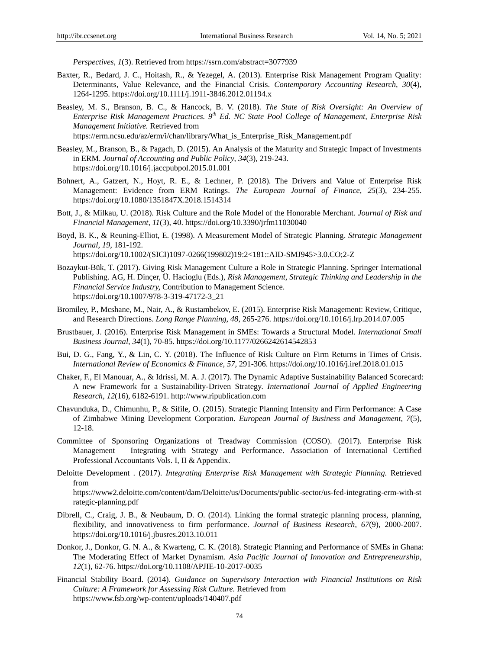*Perspectives*, *1*(3). Retrieved from https://ssrn.com/abstract=3077939

- Baxter, R., Bedard, J. C., Hoitash, R., & Yezegel, A. (2013). Enterprise Risk Management Program Quality: Determinants, Value Relevance, and the Financial Crisis. *Contemporary Accounting Research*, *30*(4), 1264-1295. https://doi.org/10.1111/j.1911-3846.2012.01194.x
- Beasley, M. S., Branson, B. C., & Hancock, B. V. (2018). *The State of Risk Oversight: An Overview of Enterprise Risk Management Practices. 9 th Ed. NC State Pool College of Management, Enterprise Risk Management Initiative.* Retrieved from

[https://erm.ncsu.edu/az/erm/i/chan/library/What\\_is\\_Enterprise\\_Risk\\_Management.pdf](https://erm.ncsu.edu/az/erm/i/chan/library/What_is_Enterprise_Risk_Management.pdf)

- Beasley, M., Branson, B., & Pagach, D. (2015). An Analysis of the Maturity and Strategic Impact of Investments in ERM. *Journal of Accounting and Public Policy*, *34*(3), 219-243. https://doi.org/10.1016/j.jaccpubpol.2015.01.001
- Bohnert, A., Gatzert, N., Hoyt, R. E., & Lechner*,* P. (2018). The Drivers and Value of Enterprise Risk Management: Evidence from ERM Ratings. *The European Journal of Finance*, *25*(3), 234-255. https://doi.org/10.1080/1351847X.2018.1514314
- Bott, J., & Milkau, U. (2018). Risk Culture and the Role Model of the Honorable Merchant. *Journal of Risk and Financial Management*, *11*(3), 40. https://doi.org/10.3390/jrfm11030040
- Boyd, B. K., & Reuning-Elliot, E. (1998). A Measurement Model of Strategic Planning. *Strategic Management Journal*, *19,* 181-192. https://doi.org/10.1002/(SICI)1097-0266(199802)19:2<181::AID-SMJ945>3.0.CO;2-Z
- Bozaykut-Bük, T. (2017). Giving Risk Management Culture a Role in Strategic Planning. Springer International Publishing. AG, H. Dinçer, Ü. Hacioglu (Eds.), *Risk Management, Strategic Thinking and Leadership in the Financial Service Industry,* Contribution to Management Science. https://doi.org/10.1007/978-3-319-47172-3\_21
- Bromiley, P., Mcshane, M., Nair, A., & Rustambekov, E. (2015). Enterprise Risk Management: Review, Critique, and Research Directions. *Long Range Planning*, *48,* 265-276. https://doi.org/10.1016/j.lrp.2014.07.005
- Brustbauer, J. (2016). Enterprise Risk Management in SMEs: Towards a Structural Model. *International Small Business Journal*, *34*(1), 70-85. https://doi.org/10.1177/0266242614542853
- Bui, D. G., Fang, Y., & Lin, C. Y. (2018). The Influence of Risk Culture on Firm Returns in Times of Crisis. *International Review of Economics & Finance*, *57,* 291-306. https://doi.org/10.1016/j.iref.2018.01.015
- Chaker, F., El Manouar, A., & Idrissi, M. A. J. (2017). The Dynamic Adaptive Sustainability Balanced Scorecard: A new Framework for a Sustainability-Driven Strategy. *International Journal of Applied Engineering Research, 12*(16), 6182-6191. http://www.ripublication.com
- Chavunduka, D., Chimunhu, P., & Sifile, O. (2015). Strategic Planning Intensity and Firm Performance: A Case of Zimbabwe Mining Development Corporation. *European Journal of Business and Management*, *7*(5), 12-18.
- Committee of Sponsoring Organizations of Treadway Commission (COSO). (2017). Enterprise Risk Management – Integrating with Strategy and Performance. Association of International Certified Professional Accountants Vols. I, II & Appendix.
- Deloitte Development . (2017). *Integrating Enterprise Risk Management with Strategic Planning.* Retrieved from

[https://www2.deloitte.com/content/dam/Deloitte/us/Documents/public-sector/us-fed-integrating-erm-with-st](https://www2.deloitte.com/content/dam/Deloitte/us/Documents/public-sector/us-fed-integrating-erm-with-strategic-planning.pdf) [rategic-planning.pdf](https://www2.deloitte.com/content/dam/Deloitte/us/Documents/public-sector/us-fed-integrating-erm-with-strategic-planning.pdf)

- Dibrell, C., Craig, J. B., & Neubaum, D. O. (2014). Linking the formal strategic planning process, planning, flexibility, and innovativeness to firm performance. *Journal of Business Research*, *67*(9), 2000-2007. https://doi.org/10.1016/j.jbusres.2013.10.011
- Donkor, J., Donkor, G. N. A., & Kwarteng, C. K. (2018). Strategic Planning and Performance of SMEs in Ghana: The Moderating Effect of Market Dynamism. *Asia Pacific Journal of Innovation and Entrepreneurship*, *12*(1), 62-76. https://doi.org/10.1108/APJIE-10-2017-0035
- Financial Stability Board. (2014). *Guidance on Supervisory Interaction with Financial Institutions on Risk Culture: A Framework for Assessing Risk Culture.* Retrieved from https://www.fsb.org/wp-content/uploads/140407.pdf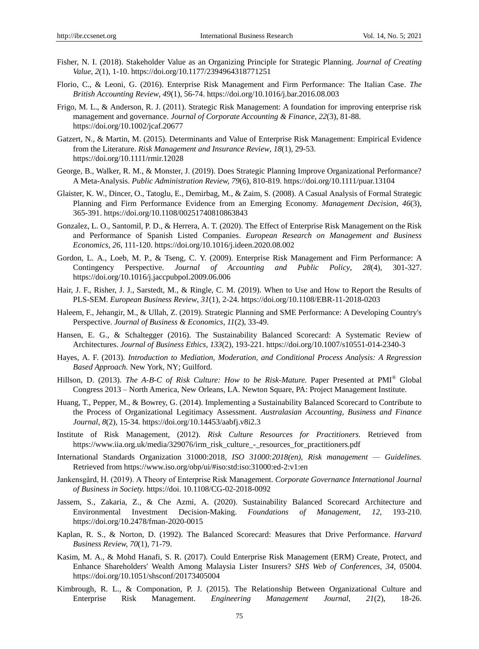- Fisher, N. I. (2018). Stakeholder Value as an Organizing Principle for Strategic Planning. *Journal of Creating Value, 2*(1), 1-10. https://doi.org/10.1177/2394964318771251
- Florio, C., & Leoni, G. (2016). Enterprise Risk Management and Firm Performance: The Italian Case. *The British Accounting Review*, *49*(1), 56-74. https://doi.org/10.1016/j.bar.2016.08.003
- Frigo, M. L., & Anderson, R. J. (2011). Strategic Risk Management: A foundation for improving enterprise risk management and governance. *Journal of Corporate Accounting & Finance*, *22*(3), 81-88. https://doi.org/10.1002/jcaf.20677
- Gatzert, N., & Martin, M. (2015). Determinants and Value of Enterprise Risk Management: Empirical Evidence from the Literature. *Risk Management and Insurance Review*, *18*(1), 29-53. https://doi.org/10.1111/rmir.12028
- George, B., Walker, R. M., & Monster, J. (2019). Does Strategic Planning Improve Organizational Performance? A Meta-Analysis. *Public Administration Review, 79*(6), 810-819. https://doi.org/10.1111/puar.13104
- Glaister, K. W., Dincer, O., Tatoglu, E., Demirbag, M., & Zaim, S. (2008). A Casual Analysis of Formal Strategic Planning and Firm Performance Evidence from an Emerging Economy. *Management Decision*, *46*(3), 365-391. https://doi.org/10.1108/00251740810863843
- Gonzalez, L. O., Santomil, P. D., & Herrera, A. T. (2020). The Effect of Enterprise Risk Management on the Risk and Performance of Spanish Listed Companies. *European Research on Management and Business Economics*, *26,* 111-120.<https://doi.org/10.1016/j.ideen.2020.08.002>
- Gordon, L. A., Loeb, M. P., & Tseng, C. Y. (2009). Enterprise Risk Management and Firm Performance: A Contingency Perspective. *Journal of Accounting and Public Policy*, *28*(4), 301-327. https://doi.org/10.1016/j.jaccpubpol.2009.06.006
- Hair, J. F., Risher, J. J., Sarstedt, M., & Ringle, C. M. (2019). When to Use and How to Report the Results of PLS-SEM. *European Business Review*, *31*(1), 2-24. https://doi.org/10.1108/EBR-11-2018-0203
- Haleem, F., Jehangir, M., & Ullah, Z. (2019). Strategic Planning and SME Performance: A Developing Country's Perspective. *Journal of Business & Economics*, *11*(2), 33-49.
- Hansen, E. G., & Schaltegger (2016). The Sustainability Balanced Scorecard: A Systematic Review of Architectures. *Journal of Business Ethics, 133*(2), 193-221. https://doi.org/10.1007/s10551-014-2340-3
- Hayes, A. F. (2013). *Introduction to Mediation, Moderation, and Conditional Process Analysis: A Regression Based Approach.* New York, NY; Guilford.
- Hillson, D. (2013). *The A-B-C of Risk Culture: How to be Risk-Mature.* Paper Presented at PMI<sup>®</sup> Global Congress 2013 – North America, New Orleans, LA. Newton Square, PA: Project Management Institute.
- Huang, T., Pepper, M., & Bowrey, G. (2014). Implementing a Sustainability Balanced Scorecard to Contribute to the Process of Organizational Legitimacy Assessment. *Australasian Accounting, Business and Finance Journal*, *8*(2), 15-34. https://doi.org/10.14453/aabfj.v8i2.3
- Institute of Risk Management, (2012). *Risk Culture Resources for Practitioners.* Retrieved from [https://www.iia.org.uk/media/329076/irm\\_risk\\_culture\\_-\\_resources\\_for\\_practitioners.pdf](https://www.iia.org.uk/media/329076/irm_risk_culture_-_resources_for_practitioners.pdf)
- International Standards Organization 31000:2018, *[ISO 31000:2018\(en\), Risk management —](https://www.iso.org/obp/ui/#iso:std:iso:31000:ed-2:v1:en) Guidelines.* Retrieved from https://www.iso.org/obp/ui/#iso:std:iso:31000:ed-2:v1:en
- Jankensgård, H. (2019). A Theory of Enterprise Risk Management. *Corporate Governance International Journal of Business in Society.* https://doi. 10.1108/CG-02-2018-0092
- Jassem, S., Zakaria, Z., & Che Azmi, A. (2020). Sustainability Balanced Scorecard Architecture and Environmental Investment Decision-Making. *Foundations of Management, 12,* 193-210. https://doi.org/10.2478/fman-2020-0015
- Kaplan, R. S., & Norton, D. (1992). The Balanced Scorecard: Measures that Drive Performance. *Harvard Business Review, 70*(1), 71-79.
- Kasim, M. A., & Mohd Hanafi, S. R. (2017). Could Enterprise Risk Management (ERM) Create, Protect, and Enhance Shareholders' Wealth Among Malaysia Lister Insurers? *SHS Web of Conferences, 34,* 05004. https://doi.org/10.1051/shsconf/20173405004
- Kimbrough, R. L., & Componation, P. J. (2015). The Relationship Between Organizational Culture and Enterprise Risk Management. *Engineering Management Journal*, *21*(2), 18-26.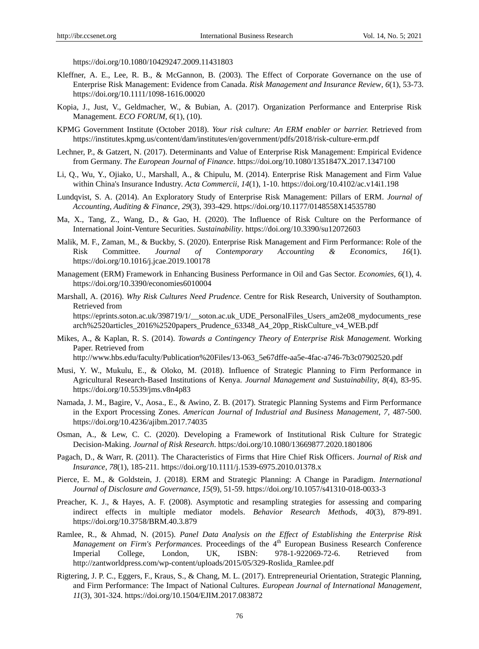https://doi.org/10.1080/10429247.2009.11431803

- Kleffner, A. E., Lee, R. B., & McGannon, B. (2003). The Effect of Corporate Governance on the use of Enterprise Risk Management: Evidence from Canada. *Risk Management and Insurance Review*, *6*(1), 53-73. https://doi.org/10.1111/1098-1616.00020
- Kopia, J., Just, V., Geldmacher, W., & Bubian, A. (2017). Organization Performance and Enterprise Risk Management. *ECO FORUM*, *6*(1), (10).
- KPMG Government Institute (October 2018). *Your risk culture: An ERM enabler or barrier.* Retrieved from <https://institutes.kpmg.us/content/dam/institutes/en/government/pdfs/2018/risk-culture-erm.pdf>
- Lechner, P., & Gatzert, N. (2017). Determinants and Value of Enterprise Risk Management: Empirical Evidence from Germany. *The European Journal of Finance*. https://doi.org/10.1080/1351847X.2017.1347100
- Li, Q., Wu, Y., Ojiako, U., Marshall, A., & Chipulu, M. (2014). Enterprise Risk Management and Firm Value within China's Insurance Industry. *Acta Commercii*, *14*(1), 1-10. https://doi.org/10.4102/ac.v14i1.198
- Lundqvist, S. A. (2014). An Exploratory Study of Enterprise Risk Management: Pillars of ERM. *Journal of Accounting, Auditing & Finance, 29*(3), 393-429. https://doi.org/10.1177/0148558X14535780
- Ma, X., Tang, Z., Wang, D., & Gao, H. (2020). The Influence of Risk Culture on the Performance of International Joint-Venture Securities. *Sustainability*. https://doi.org/10.3390/su12072603
- Malik, M. F., Zaman, M., & Buckby, S. (2020). Enterprise Risk Management and Firm Performance: Role of the Risk Committee. *Journal of Contemporary Accounting & Economics, 16*(1). https://doi.org/10.1016/j.jcae.2019.100178
- Management (ERM) Framework in Enhancing Business Performance in Oil and Gas Sector. *Economies*, *6*(1), 4. https://doi.org/10.3390/economies6010004
- Marshall, A. (2016). *Why Risk Cultures Need Prudence.* Centre for Risk Research, University of Southampton. Retrieved from https://eprints.soton.ac.uk/398719/1/\_\_soton.ac.uk\_UDE\_PersonalFiles\_Users\_am2e08\_mydocuments\_rese arch%2520articles\_2016%2520papers\_Prudence\_63348\_A4\_20pp\_RiskCulture\_v4\_WEB.pdf
- Mikes, A., & Kaplan, R. S. (2014). *Towards a Contingency Theory of Enterprise Risk Management.* Working Paper. Retrieved from

[http://www.hbs.edu/faculty/Publication%20Files/13-063\\_5e67dffe-aa5e-4fac-a746-7b3c07902520.pdf](http://www.hbs.edu/faculty/Publication%20Files/13-063_5e67dffe-aa5e-4fac-a746-7b3c07902520.pdf)

- Musi, Y. W., Mukulu, E., & Oloko, M. (2018). Influence of Strategic Planning to Firm Performance in Agricultural Research-Based Institutions of Kenya. *Journal Management and Sustainability*, *8*(4), 83-95. https://doi.org/10.5539/jms.v8n4p83
- Namada, J. M., Bagire, V., Aosa., E., & Awino, Z. B. (2017). Strategic Planning Systems and Firm Performance in the Export Processing Zones. *American Journal of Industrial and Business Management*, *7,* 487-500. https://doi.org/10.4236/ajibm.2017.74035
- Osman, A., & Lew, C. C. (2020). Developing a Framework of Institutional Risk Culture for Strategic Decision-Making. *Journal of Risk Research*. https:/doi.org/10.1080/13669877.2020.1801806
- Pagach, D., & Warr, R. (2011). The Characteristics of Firms that Hire Chief Risk Officers. *Journal of Risk and Insurance*, *78*(1), 185-211. https://doi.org/10.1111/j.1539-6975.2010.01378.x
- Pierce, E. M., & Goldstein, J. (2018). ERM and Strategic Planning: A Change in Paradigm. *International Journal of Disclosure and Governance*, *15*(9), 51-59. https://doi.org/10.1057/s41310-018-0033-3
- Preacher, K. J., & Hayes, A. F. (2008). Asymptotic and resampling strategies for assessing and comparing indirect effects in multiple mediator models. *Behavior Research Methods*, *40*(3), 879-891. https://doi.org/10.3758/BRM.40.3.879
- Ramlee, R., & Ahmad, N. (2015). *Panel Data Analysis on the Effect of Establishing the Enterprise Risk Management on Firm's Performances.* Proceedings of the 4<sup>th</sup> European Business Research Conference Imperial College, London, UK, ISBN: 978-1-922069-72-6. Retrieved from http://zantworldpress.com/wp-content/uploads/2015/05/329-Roslida\_Ramlee.pdf
- Rigtering, J. P. C., Eggers, F., Kraus, S., & Chang, M. L. (2017). Entrepreneurial Orientation, Strategic Planning, and Firm Performance: The Impact of National Cultures. *European Journal of International Management*, *11*(3), 301-324. https://doi.org/10.1504/EJIM.2017.083872